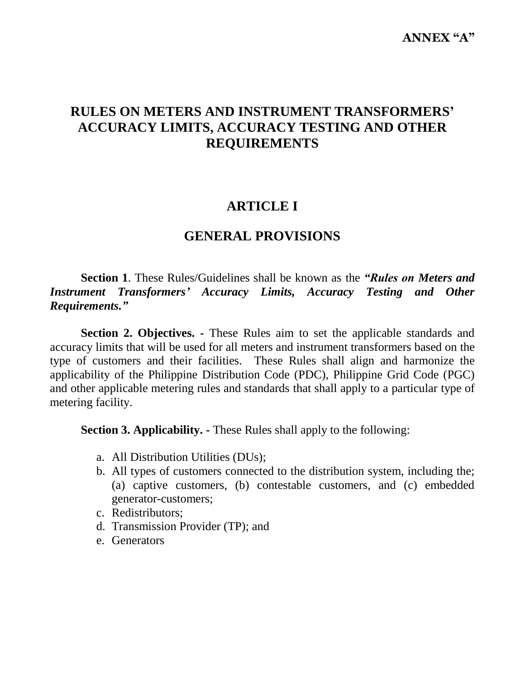# **RULES ON METERS AND INSTRUMENT TRANSFORMERS' ACCURACY LIMITS, ACCURACY TESTING AND OTHER REQUIREMENTS**

# **ARTICLE I**

## **GENERAL PROVISIONS**

**Section 1**. These Rules/Guidelines shall be known as the *"Rules on Meters and Instrument Transformers' Accuracy Limits, Accuracy Testing and Other Requirements."*

**Section 2. Objectives. -** These Rules aim to set the applicable standards and accuracy limits that will be used for all meters and instrument transformers based on the type of customers and their facilities. These Rules shall align and harmonize the applicability of the Philippine Distribution Code (PDC), Philippine Grid Code (PGC) and other applicable metering rules and standards that shall apply to a particular type of metering facility.

**Section 3. Applicability. -** These Rules shall apply to the following:

- a. All Distribution Utilities (DUs);
- b. All types of customers connected to the distribution system, including the; (a) captive customers, (b) contestable customers, and (c) embedded generator-customers;
- c. Redistributors;
- d. Transmission Provider (TP); and
- e. Generators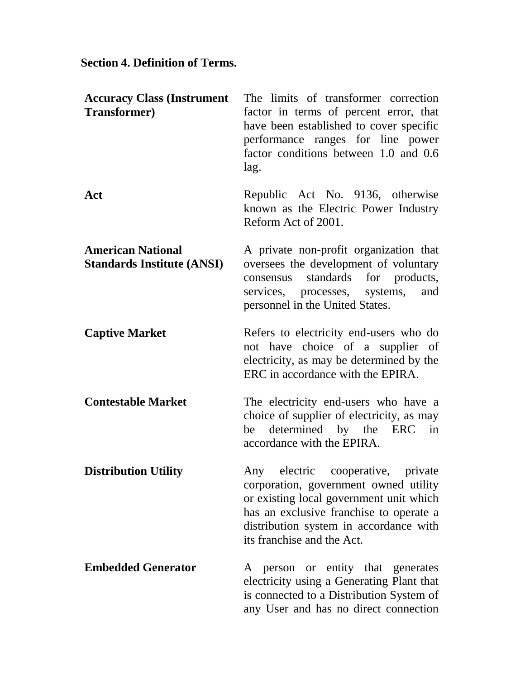## **Section 4. Definition of Terms.**

| <b>Accuracy Class (Instrument</b><br><b>Transformer</b> )     | The limits of transformer correction<br>factor in terms of percent error, that<br>have been established to cover specific<br>performance ranges for line power<br>factor conditions between 1.0 and 0.6<br>lag.                                |
|---------------------------------------------------------------|------------------------------------------------------------------------------------------------------------------------------------------------------------------------------------------------------------------------------------------------|
| Act                                                           | Republic Act No. 9136, otherwise<br>known as the Electric Power Industry<br>Reform Act of 2001.                                                                                                                                                |
| <b>American National</b><br><b>Standards Institute (ANSI)</b> | A private non-profit organization that<br>oversees the development of voluntary<br>standards for products,<br>consensus<br>services, processes, systems,<br>and<br>personnel in the United States.                                             |
| <b>Captive Market</b>                                         | Refers to electricity end-users who do<br>not have choice of a supplier of<br>electricity, as may be determined by the<br>ERC in accordance with the EPIRA.                                                                                    |
| <b>Contestable Market</b>                                     | The electricity end-users who have a<br>choice of supplier of electricity, as may<br>determined by the ERC<br>be<br>in<br>accordance with the EPIRA.                                                                                           |
| <b>Distribution Utility</b>                                   | cooperative, private<br>electric<br>Any<br>corporation, government owned utility<br>or existing local government unit which<br>has an exclusive franchise to operate a<br>distribution system in accordance with<br>its franchise and the Act. |
| <b>Embedded Generator</b>                                     | entity that generates<br>person<br><sub>or</sub><br>A<br>electricity using a Generating Plant that<br>is connected to a Distribution System of<br>any User and has no direct connection                                                        |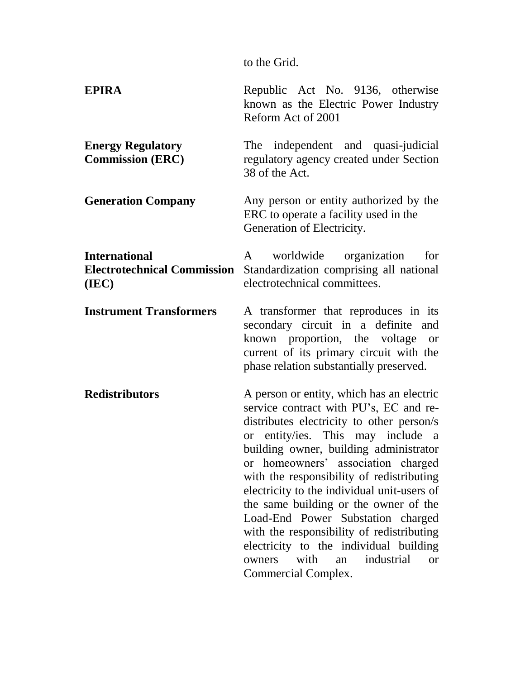to the Grid.

| <b>EPIRA</b>                                                        | Republic Act No. 9136, otherwise<br>known as the Electric Power Industry<br>Reform Act of 2001                                                                                                                                                                                                                                                                                                                                                                                                                                                                                                   |
|---------------------------------------------------------------------|--------------------------------------------------------------------------------------------------------------------------------------------------------------------------------------------------------------------------------------------------------------------------------------------------------------------------------------------------------------------------------------------------------------------------------------------------------------------------------------------------------------------------------------------------------------------------------------------------|
| <b>Energy Regulatory</b><br><b>Commission (ERC)</b>                 | The independent and quasi-judicial<br>regulatory agency created under Section<br>38 of the Act.                                                                                                                                                                                                                                                                                                                                                                                                                                                                                                  |
| <b>Generation Company</b>                                           | Any person or entity authorized by the<br>ERC to operate a facility used in the<br>Generation of Electricity.                                                                                                                                                                                                                                                                                                                                                                                                                                                                                    |
| <b>International</b><br><b>Electrotechnical Commission</b><br>(IEC) | worldwide organization<br>for<br>A<br>Standardization comprising all national<br>electrotechnical committees.                                                                                                                                                                                                                                                                                                                                                                                                                                                                                    |
| <b>Instrument Transformers</b>                                      | A transformer that reproduces in its<br>secondary circuit in a definite and<br>known proportion, the voltage<br><b>or</b><br>current of its primary circuit with the<br>phase relation substantially preserved.                                                                                                                                                                                                                                                                                                                                                                                  |
| <b>Redistributors</b>                                               | A person or entity, which has an electric<br>service contract with PU's, EC and re-<br>distributes electricity to other person/s<br>or entity/ies. This may include a<br>building owner, building administrator<br>or homeowners' association charged<br>with the responsibility of redistributing<br>electricity to the individual unit-users of<br>the same building or the owner of the<br>Load-End Power Substation charged<br>with the responsibility of redistributing<br>electricity to the individual building<br>with<br>industrial<br>owners<br>an<br><b>or</b><br>Commercial Complex. |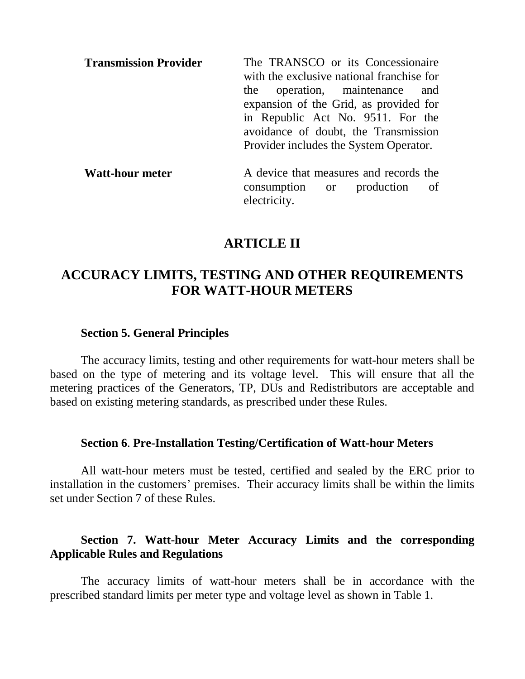| <b>Transmission Provider</b> | The TRANSCO or its Concessionaire<br>with the exclusive national franchise for<br>the operation, maintenance and<br>expansion of the Grid, as provided for |
|------------------------------|------------------------------------------------------------------------------------------------------------------------------------------------------------|
|                              | in Republic Act No. 9511. For the<br>avoidance of doubt, the Transmission<br>Provider includes the System Operator.                                        |
| <b>Watt-hour meter</b>       | A device that measures and records the                                                                                                                     |

A device that measures and req consumption or production of electricity.

## **ARTICLE II**

# **ACCURACY LIMITS, TESTING AND OTHER REQUIREMENTS FOR WATT-HOUR METERS**

#### **Section 5. General Principles**

The accuracy limits, testing and other requirements for watt-hour meters shall be based on the type of metering and its voltage level. This will ensure that all the metering practices of the Generators, TP, DUs and Redistributors are acceptable and based on existing metering standards, as prescribed under these Rules.

### **Section 6**. **Pre-Installation Testing/Certification of Watt-hour Meters**

All watt-hour meters must be tested, certified and sealed by the ERC prior to installation in the customers' premises. Their accuracy limits shall be within the limits set under Section 7 of these Rules.

### **Section 7. Watt-hour Meter Accuracy Limits and the corresponding Applicable Rules and Regulations**

The accuracy limits of watt-hour meters shall be in accordance with the prescribed standard limits per meter type and voltage level as shown in Table 1.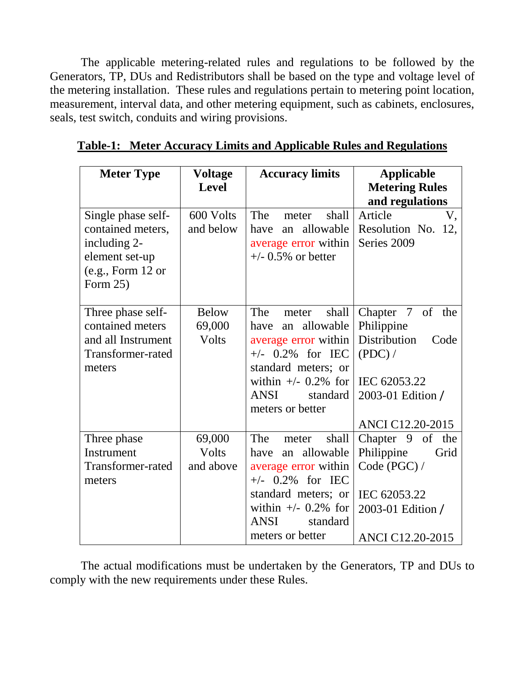The applicable metering-related rules and regulations to be followed by the Generators, TP, DUs and Redistributors shall be based on the type and voltage level of the metering installation. These rules and regulations pertain to metering point location, measurement, interval data, and other metering equipment, such as cabinets, enclosures, seals, test switch, conduits and wiring provisions.

| <b>Meter Type</b>                                                                                          | <b>Voltage</b><br><b>Level</b>  | <b>Accuracy limits</b>                                                                                                                                                                        | <b>Applicable</b><br><b>Metering Rules</b><br>and regulations                                                                                     |  |
|------------------------------------------------------------------------------------------------------------|---------------------------------|-----------------------------------------------------------------------------------------------------------------------------------------------------------------------------------------------|---------------------------------------------------------------------------------------------------------------------------------------------------|--|
| Single phase self-<br>contained meters,<br>including 2-<br>element set-up<br>(e.g., Form 12 or<br>Form 25) | 600 Volts<br>and below          | The<br>shall<br>meter<br>an allowable<br>have<br>average error within<br>$+/-$ 0.5% or better                                                                                                 | Article<br>V,<br>Resolution No. 12,<br>Series 2009                                                                                                |  |
| Three phase self-<br>contained meters<br>and all Instrument<br>Transformer-rated<br>meters                 | <b>Below</b><br>69,000<br>Volts | The<br>shall<br>meter<br>an allowable<br>have<br>average error within<br>$+/-$ 0.2% for IEC<br>standard meters; or<br>within $+/-$ 0.2% for<br><b>ANSI</b><br>standard<br>meters or better    | $7\overline{ }$<br>of<br>Chapter<br>the<br>Philippine<br>Distribution<br>Code<br>(PDC) /<br>IEC 62053.22<br>2003-01 Edition /<br>ANCI C12.20-2015 |  |
| Three phase<br>Instrument<br>Transformer-rated<br>meters                                                   | 69,000<br>Volts<br>and above    | The<br>shall<br>meter<br>allowable<br>have<br>an<br>average error within<br>$+/-$ 0.2% for IEC<br>standard meters; or<br>within $+/-$ 0.2% for<br><b>ANSI</b><br>standard<br>meters or better | Chapter 9 of the<br>Philippine<br>Grid<br>Code (PGC) /<br>IEC 62053.22<br>2003-01 Edition /<br><b>ANCI C12.20-2015</b>                            |  |

**Table-1: Meter Accuracy Limits and Applicable Rules and Regulations**

The actual modifications must be undertaken by the Generators, TP and DUs to comply with the new requirements under these Rules.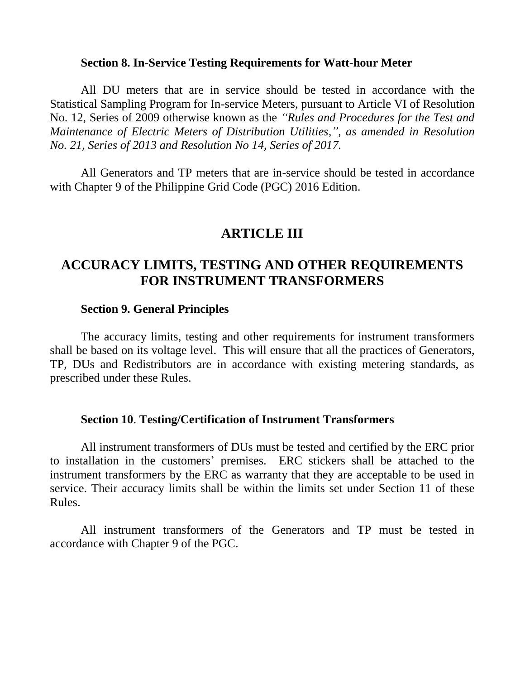### **Section 8. In-Service Testing Requirements for Watt-hour Meter**

All DU meters that are in service should be tested in accordance with the Statistical Sampling Program for In-service Meters, pursuant to Article VI of Resolution No. 12, Series of 2009 otherwise known as the *"Rules and Procedures for the Test and Maintenance of Electric Meters of Distribution Utilities,", as amended in Resolution No. 21, Series of 2013 and Resolution No 14, Series of 2017.* 

All Generators and TP meters that are in-service should be tested in accordance with Chapter 9 of the Philippine Grid Code (PGC) 2016 Edition.

# **ARTICLE III**

# **ACCURACY LIMITS, TESTING AND OTHER REQUIREMENTS FOR INSTRUMENT TRANSFORMERS**

#### **Section 9. General Principles**

The accuracy limits, testing and other requirements for instrument transformers shall be based on its voltage level. This will ensure that all the practices of Generators, TP, DUs and Redistributors are in accordance with existing metering standards, as prescribed under these Rules.

#### **Section 10**. **Testing/Certification of Instrument Transformers**

All instrument transformers of DUs must be tested and certified by the ERC prior to installation in the customers' premises. ERC stickers shall be attached to the instrument transformers by the ERC as warranty that they are acceptable to be used in service. Their accuracy limits shall be within the limits set under Section 11 of these Rules.

All instrument transformers of the Generators and TP must be tested in accordance with Chapter 9 of the PGC.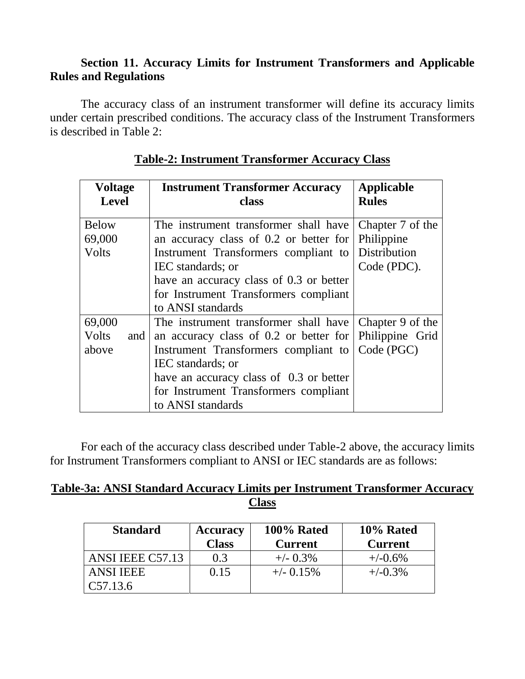## **Section 11. Accuracy Limits for Instrument Transformers and Applicable Rules and Regulations**

The accuracy class of an instrument transformer will define its accuracy limits under certain prescribed conditions. The accuracy class of the Instrument Transformers is described in Table 2:

| <b>Voltage</b><br><b>Level</b> | <b>Instrument Transformer Accuracy</b><br>class        | <b>Applicable</b><br><b>Rules</b> |
|--------------------------------|--------------------------------------------------------|-----------------------------------|
| <b>Below</b>                   | The instrument transformer shall have                  | Chapter 7 of the                  |
| 69,000                         | an accuracy class of 0.2 or better for                 | Philippine                        |
| Volts                          | Instrument Transformers compliant to                   | Distribution                      |
|                                | IEC standards; or                                      | Code (PDC).                       |
|                                | have an accuracy class of 0.3 or better                |                                   |
|                                | for Instrument Transformers compliant                  |                                   |
|                                | to ANSI standards                                      |                                   |
| 69,000                         | The instrument transformer shall have                  | Chapter 9 of the                  |
| <b>Volts</b><br>and            | an accuracy class of 0.2 or better for Philippine Grid |                                   |
| above                          | Instrument Transformers compliant to                   | Code (PGC)                        |
|                                | IEC standards; or                                      |                                   |
|                                | have an accuracy class of 0.3 or better                |                                   |
|                                | for Instrument Transformers compliant                  |                                   |
|                                | to ANSI standards                                      |                                   |

## **Table-2: Instrument Transformer Accuracy Class**

For each of the accuracy class described under Table-2 above, the accuracy limits for Instrument Transformers compliant to ANSI or IEC standards are as follows:

## **Table-3a: ANSI Standard Accuracy Limits per Instrument Transformer Accuracy Class**

| <b>Standard</b>  | <b>Accuracy</b> | 100% Rated     | 10% Rated      |  |
|------------------|-----------------|----------------|----------------|--|
|                  | <b>Class</b>    | <b>Current</b> | <b>Current</b> |  |
| ANSI IEEE C57.13 | 0.3             | $+/-$ 0.3%     | $+/-0.6%$      |  |
| <b>ANSI IEEE</b> | 0.15            | $+/-$ 0.15%    | $+/-0.3%$      |  |
| C57.13.6         |                 |                |                |  |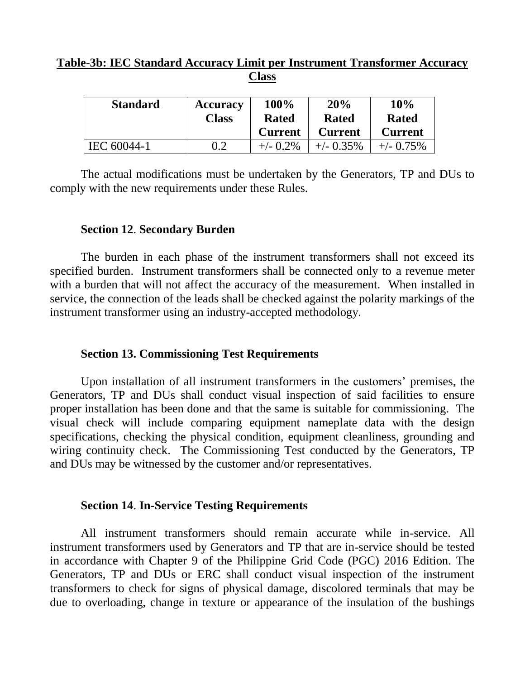## **Table-3b: IEC Standard Accuracy Limit per Instrument Transformer Accuracy Class**

| <b>Standard</b> | <b>Accuracy</b> | 100%           | 20%            | 10%            |
|-----------------|-----------------|----------------|----------------|----------------|
|                 | <b>Class</b>    | <b>Rated</b>   | <b>Rated</b>   | <b>Rated</b>   |
|                 |                 | <b>Current</b> | <b>Current</b> | <b>Current</b> |
| IEC 60044-1     | 0.2             | $+/-$ 0.2%     | $+/-$ 0.35%    | $+/-$ 0.75%    |

The actual modifications must be undertaken by the Generators, TP and DUs to comply with the new requirements under these Rules.

### **Section 12**. **Secondary Burden**

The burden in each phase of the instrument transformers shall not exceed its specified burden. Instrument transformers shall be connected only to a revenue meter with a burden that will not affect the accuracy of the measurement. When installed in service, the connection of the leads shall be checked against the polarity markings of the instrument transformer using an industry-accepted methodology.

### **Section 13. Commissioning Test Requirements**

Upon installation of all instrument transformers in the customers' premises, the Generators, TP and DUs shall conduct visual inspection of said facilities to ensure proper installation has been done and that the same is suitable for commissioning. The visual check will include comparing equipment nameplate data with the design specifications, checking the physical condition, equipment cleanliness, grounding and wiring continuity check. The Commissioning Test conducted by the Generators, TP and DUs may be witnessed by the customer and/or representatives.

### **Section 14**. **In-Service Testing Requirements**

All instrument transformers should remain accurate while in-service. All instrument transformers used by Generators and TP that are in-service should be tested in accordance with Chapter 9 of the Philippine Grid Code (PGC) 2016 Edition. The Generators, TP and DUs or ERC shall conduct visual inspection of the instrument transformers to check for signs of physical damage, discolored terminals that may be due to overloading, change in texture or appearance of the insulation of the bushings